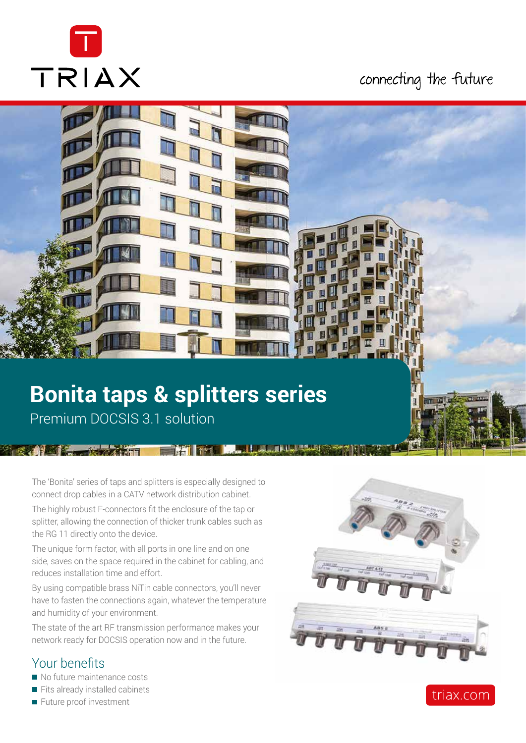

## connecting the future



## **Bonita taps & splitters series** Premium DOCSIS 3.1 solution

**THE INSTALL** 

The 'Bonita' series of taps and splitters is especially designed to connect drop cables in a CATV network distribution cabinet.

The highly robust F-connectors fit the enclosure of the tap or splitter, allowing the connection of thicker trunk cables such as the RG 11 directly onto the device.

The unique form factor, with all ports in one line and on one side, saves on the space required in the cabinet for cabling, and reduces installation time and effort.

By using compatible brass NiTin cable connectors, you'll never have to fasten the connections again, whatever the temperature and humidity of your environment.

The state of the art RF transmission performance makes your network ready for DOCSIS operation now and in the future.

### Your benefits

- $\blacksquare$  No future maintenance costs
- $\blacksquare$  Fits already installed cabinets
- $\blacksquare$  Future proof investment